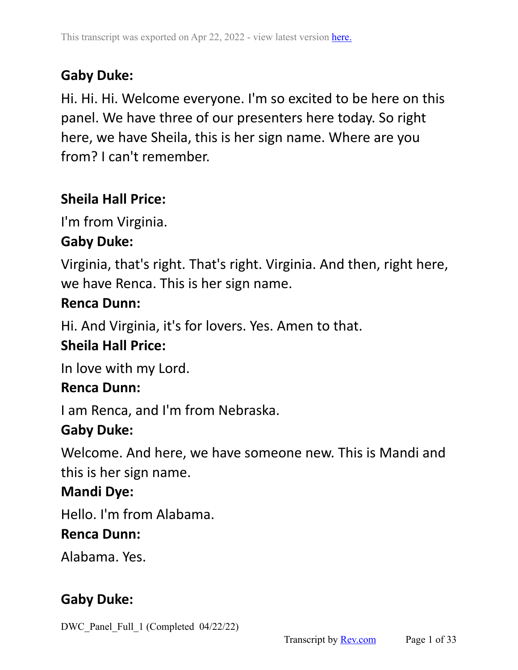# **Gaby Duke:**

Hi. Hi. Hi. Welcome everyone. I'm so excited to be here on this panel. We have three of our presenters here today. So right here, we have Sheila, this is her sign name. Where are you from? I can't remember.

## **Sheila Hall Price:**

I'm from Virginia.

## **Gaby Duke:**

Virginia, that's right. That's right. Virginia. And then, right here, we have Renca. This is her sign name.

#### **Renca Dunn:**

Hi. And Virginia, it's for lovers. Yes. Amen to that.

## **Sheila Hall Price:**

In love with my Lord.

#### **Renca Dunn:**

I am Renca, and I'm from Nebraska.

## **Gaby Duke:**

Welcome. And here, we have someone new. This is Mandi and this is her sign name.

## **Mandi Dye:**

Hello. I'm from Alabama.

#### **Renca Dunn:**

Alabama. Yes.

## **Gaby Duke:**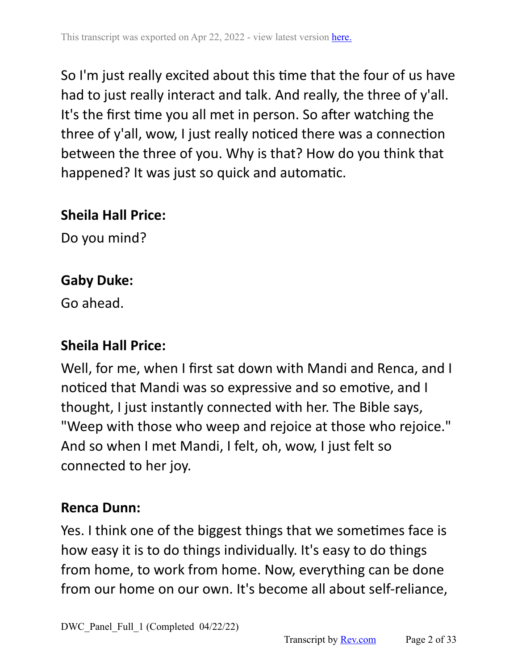So I'm just really excited about this time that the four of us have had to just really interact and talk. And really, the three of y'all. It's the first time you all met in person. So after watching the three of y'all, wow, I just really noticed there was a connection between the three of you. Why is that? How do you think that happened? It was just so quick and automatic.

### **Sheila Hall Price:**

Do you mind?

# **Gaby Duke:**

Go ahead.

# **Sheila Hall Price:**

Well, for me, when I first sat down with Mandi and Renca, and I noticed that Mandi was so expressive and so emotive, and I thought, I just instantly connected with her. The Bible says, "Weep with those who weep and rejoice at those who rejoice." And so when I met Mandi, I felt, oh, wow, I just felt so connected to her joy.

# **Renca Dunn:**

Yes. I think one of the biggest things that we sometimes face is how easy it is to do things individually. It's easy to do things from home, to work from home. Now, everything can be done from our home on our own. It's become all about self-reliance,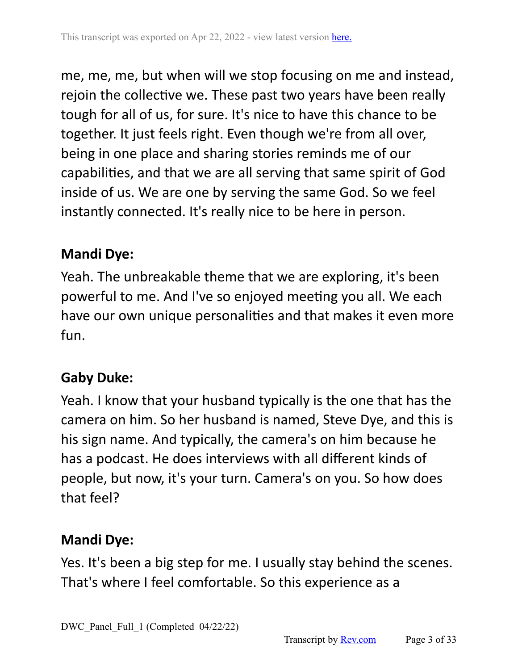me, me, me, but when will we stop focusing on me and instead, rejoin the collective we. These past two years have been really tough for all of us, for sure. It's nice to have this chance to be together. It just feels right. Even though we're from all over, being in one place and sharing stories reminds me of our capabilities, and that we are all serving that same spirit of God inside of us. We are one by serving the same God. So we feel instantly connected. It's really nice to be here in person.

## **Mandi Dye:**

Yeah. The unbreakable theme that we are exploring, it's been powerful to me. And I've so enjoyed meeting you all. We each have our own unique personalities and that makes it even more fun.

# **Gaby Duke:**

Yeah. I know that your husband typically is the one that has the camera on him. So her husband is named, Steve Dye, and this is his sign name. And typically, the camera's on him because he has a podcast. He does interviews with all different kinds of people, but now, it's your turn. Camera's on you. So how does that feel?

# **Mandi Dye:**

Yes. It's been a big step for me. I usually stay behind the scenes. That's where I feel comfortable. So this experience as a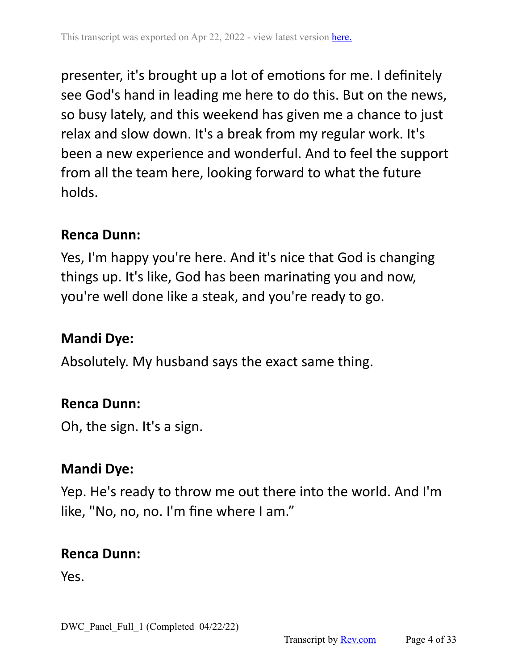presenter, it's brought up a lot of emotions for me. I definitely see God's hand in leading me here to do this. But on the news, so busy lately, and this weekend has given me a chance to just relax and slow down. It's a break from my regular work. It's been a new experience and wonderful. And to feel the support from all the team here, looking forward to what the future holds.

#### **Renca Dunn:**

Yes, I'm happy you're here. And it's nice that God is changing things up. It's like, God has been marinating you and now, you're well done like a steak, and you're ready to go.

## **Mandi Dye:**

Absolutely. My husband says the exact same thing.

#### **Renca Dunn:**

Oh, the sign. It's a sign.

## **Mandi Dye:**

Yep. He's ready to throw me out there into the world. And I'm like, "No, no, no. I'm fine where I am."

#### **Renca Dunn:**

Yes.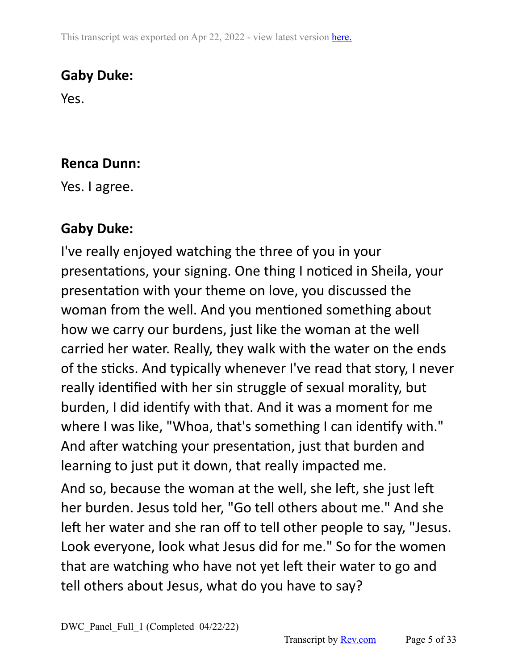This transcript was exported on Apr 22, 2022 - view latest version [here.](https://www.rev.com/transcript-editor/Edit?token=6739uI5nBDDUFkLZEzWxCClAQ1qJz4j3Zn5lg07twLffHfUHKEKWt7x0RYSfNrbfPtSyKnAQiZpP3jvkeATwYpMjcHs&loadFrom=DocumentHeaderDeepLink)

## **Gaby Duke:**

Yes.

### **Renca Dunn:**

Yes. I agree.

# **Gaby Duke:**

I've really enjoyed watching the three of you in your presentations, your signing. One thing I noticed in Sheila, your presentation with your theme on love, you discussed the woman from the well. And you mentioned something about how we carry our burdens, just like the woman at the well carried her water. Really, they walk with the water on the ends of the sticks. And typically whenever I've read that story, I never really identified with her sin struggle of sexual morality, but burden, I did identify with that. And it was a moment for me where I was like, "Whoa, that's something I can identify with." And after watching your presentation, just that burden and learning to just put it down, that really impacted me.

And so, because the woman at the well, she left, she just left her burden. Jesus told her, "Go tell others about me." And she left her water and she ran off to tell other people to say, "Jesus. Look everyone, look what Jesus did for me." So for the women that are watching who have not yet left their water to go and tell others about Jesus, what do you have to say?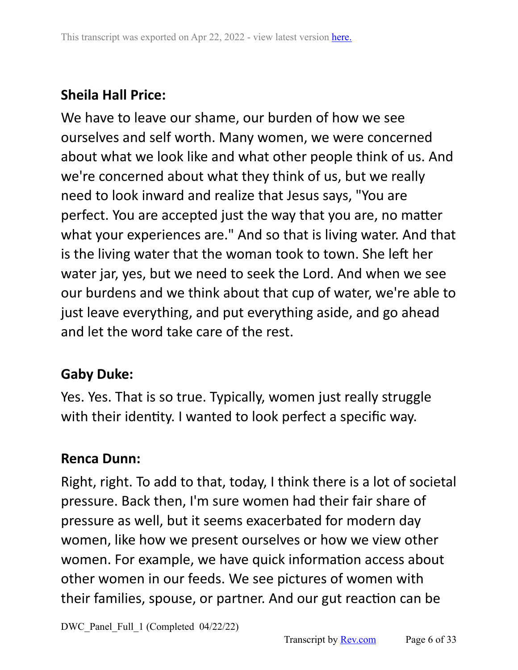# **Sheila Hall Price:**

We have to leave our shame, our burden of how we see ourselves and self worth. Many women, we were concerned about what we look like and what other people think of us. And we're concerned about what they think of us, but we really need to look inward and realize that Jesus says, "You are perfect. You are accepted just the way that you are, no matter what your experiences are." And so that is living water. And that is the living water that the woman took to town. She left her water jar, yes, but we need to seek the Lord. And when we see our burdens and we think about that cup of water, we're able to just leave everything, and put everything aside, and go ahead and let the word take care of the rest.

# **Gaby Duke:**

Yes. Yes. That is so true. Typically, women just really struggle with their identity. I wanted to look perfect a specific way.

## **Renca Dunn:**

Right, right. To add to that, today, I think there is a lot of societal pressure. Back then, I'm sure women had their fair share of pressure as well, but it seems exacerbated for modern day women, like how we present ourselves or how we view other women. For example, we have quick information access about other women in our feeds. We see pictures of women with their families, spouse, or partner. And our gut reaction can be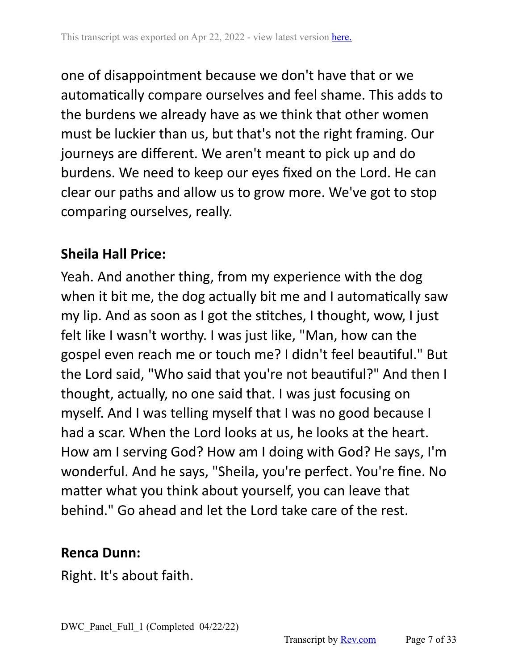one of disappointment because we don't have that or we automatically compare ourselves and feel shame. This adds to the burdens we already have as we think that other women must be luckier than us, but that's not the right framing. Our journeys are different. We aren't meant to pick up and do burdens. We need to keep our eyes fixed on the Lord. He can clear our paths and allow us to grow more. We've got to stop comparing ourselves, really.

#### **Sheila Hall Price:**

Yeah. And another thing, from my experience with the dog when it bit me, the dog actually bit me and I automatically saw my lip. And as soon as I got the stitches, I thought, wow, I just felt like I wasn't worthy. I was just like, "Man, how can the gospel even reach me or touch me? I didn't feel beautiful." But the Lord said, "Who said that you're not beautiful?" And then I thought, actually, no one said that. I was just focusing on myself. And I was telling myself that I was no good because I had a scar. When the Lord looks at us, he looks at the heart. How am I serving God? How am I doing with God? He says, I'm wonderful. And he says, "Sheila, you're perfect. You're fine. No matter what you think about yourself, you can leave that behind." Go ahead and let the Lord take care of the rest.

#### **Renca Dunn:**

Right. It's about faith.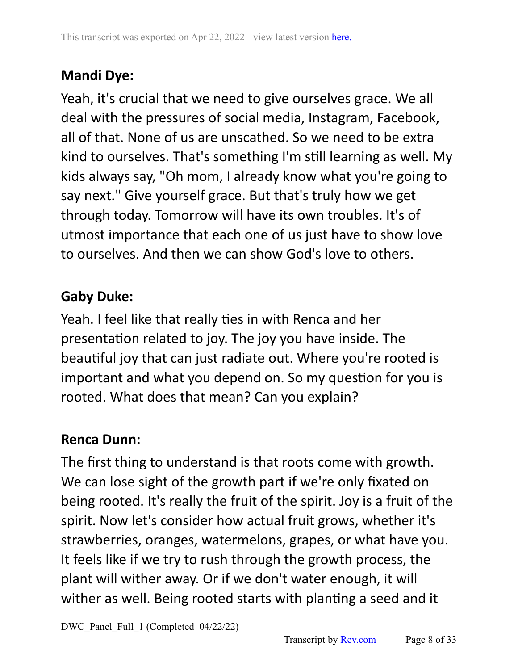# **Mandi Dye:**

Yeah, it's crucial that we need to give ourselves grace. We all deal with the pressures of social media, Instagram, Facebook, all of that. None of us are unscathed. So we need to be extra kind to ourselves. That's something I'm still learning as well. My kids always say, "Oh mom, I already know what you're going to say next." Give yourself grace. But that's truly how we get through today. Tomorrow will have its own troubles. It's of utmost importance that each one of us just have to show love to ourselves. And then we can show God's love to others.

# **Gaby Duke:**

Yeah. I feel like that really ties in with Renca and her presentation related to joy. The joy you have inside. The beautiful joy that can just radiate out. Where you're rooted is important and what you depend on. So my question for you is rooted. What does that mean? Can you explain?

## **Renca Dunn:**

The first thing to understand is that roots come with growth. We can lose sight of the growth part if we're only fixated on being rooted. It's really the fruit of the spirit. Joy is a fruit of the spirit. Now let's consider how actual fruit grows, whether it's strawberries, oranges, watermelons, grapes, or what have you. It feels like if we try to rush through the growth process, the plant will wither away. Or if we don't water enough, it will wither as well. Being rooted starts with planting a seed and it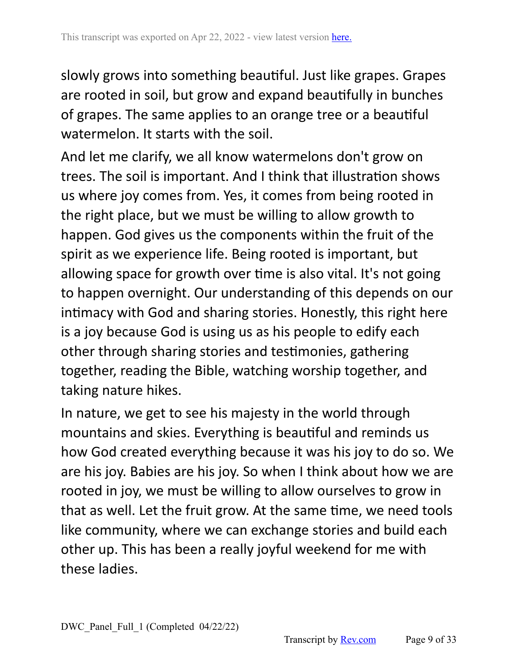slowly grows into something beautiful. Just like grapes. Grapes are rooted in soil, but grow and expand beautifully in bunches of grapes. The same applies to an orange tree or a beautiful watermelon. It starts with the soil.

And let me clarify, we all know watermelons don't grow on trees. The soil is important. And I think that illustration shows us where joy comes from. Yes, it comes from being rooted in the right place, but we must be willing to allow growth to happen. God gives us the components within the fruit of the spirit as we experience life. Being rooted is important, but allowing space for growth over time is also vital. It's not going to happen overnight. Our understanding of this depends on our intimacy with God and sharing stories. Honestly, this right here is a joy because God is using us as his people to edify each other through sharing stories and testimonies, gathering together, reading the Bible, watching worship together, and taking nature hikes.

In nature, we get to see his majesty in the world through mountains and skies. Everything is beautiful and reminds us how God created everything because it was his joy to do so. We are his joy. Babies are his joy. So when I think about how we are rooted in joy, we must be willing to allow ourselves to grow in that as well. Let the fruit grow. At the same time, we need tools like community, where we can exchange stories and build each other up. This has been a really joyful weekend for me with these ladies.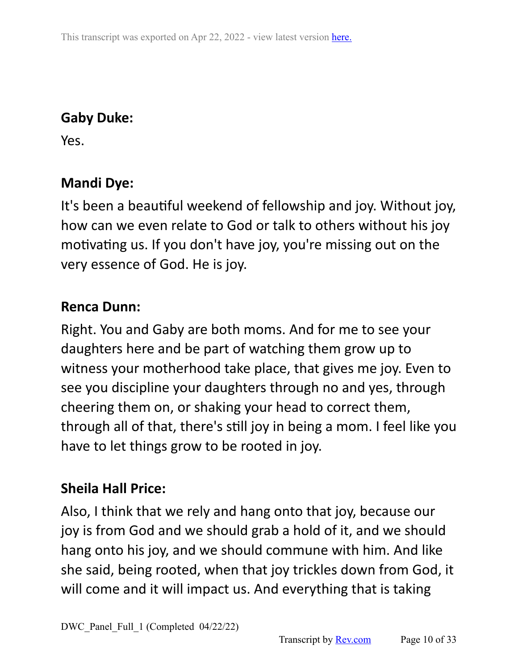# **Gaby Duke:**

Yes.

### **Mandi Dye:**

It's been a beautiful weekend of fellowship and joy. Without joy, how can we even relate to God or talk to others without his joy motivating us. If you don't have joy, you're missing out on the very essence of God. He is joy.

### **Renca Dunn:**

Right. You and Gaby are both moms. And for me to see your daughters here and be part of watching them grow up to witness your motherhood take place, that gives me joy. Even to see you discipline your daughters through no and yes, through cheering them on, or shaking your head to correct them, through all of that, there's still joy in being a mom. I feel like you have to let things grow to be rooted in joy.

## **Sheila Hall Price:**

Also, I think that we rely and hang onto that joy, because our joy is from God and we should grab a hold of it, and we should hang onto his joy, and we should commune with him. And like she said, being rooted, when that joy trickles down from God, it will come and it will impact us. And everything that is taking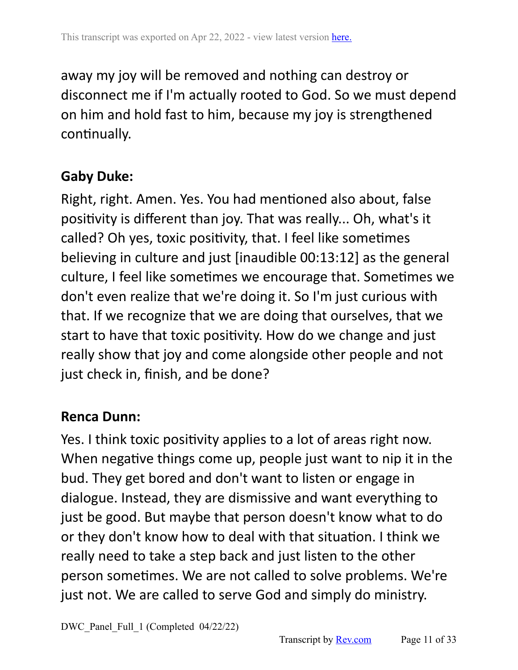away my joy will be removed and nothing can destroy or disconnect me if I'm actually rooted to God. So we must depend on him and hold fast to him, because my joy is strengthened continually.

### **Gaby Duke:**

Right, right. Amen. Yes. You had mentioned also about, false positivity is different than joy. That was really... Oh, what's it called? Oh yes, toxic positivity, that. I feel like sometimes believing in culture and just [inaudible 00:13:12] as the general culture, I feel like sometimes we encourage that. Sometimes we don't even realize that we're doing it. So I'm just curious with that. If we recognize that we are doing that ourselves, that we start to have that toxic positivity. How do we change and just really show that joy and come alongside other people and not just check in, finish, and be done?

#### **Renca Dunn:**

Yes. I think toxic positivity applies to a lot of areas right now. When negative things come up, people just want to nip it in the bud. They get bored and don't want to listen or engage in dialogue. Instead, they are dismissive and want everything to just be good. But maybe that person doesn't know what to do or they don't know how to deal with that situation. I think we really need to take a step back and just listen to the other person sometimes. We are not called to solve problems. We're just not. We are called to serve God and simply do ministry.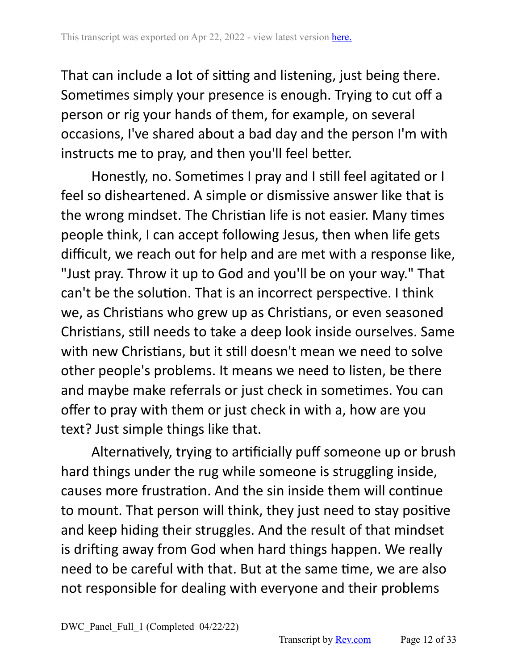That can include a lot of sitting and listening, just being there. Sometimes simply your presence is enough. Trying to cut off a person or rig your hands of them, for example, on several occasions, I've shared about a bad day and the person I'm with instructs me to pray, and then you'll feel better.

Honestly, no. Sometimes I pray and I still feel agitated or I feel so disheartened. A simple or dismissive answer like that is the wrong mindset. The Christian life is not easier. Many times people think, I can accept following Jesus, then when life gets difficult, we reach out for help and are met with a response like, "Just pray. Throw it up to God and you'll be on your way." That can't be the solution. That is an incorrect perspective. I think we, as Christians who grew up as Christians, or even seasoned Christians, still needs to take a deep look inside ourselves. Same with new Christians, but it still doesn't mean we need to solve other people's problems. It means we need to listen, be there and maybe make referrals or just check in sometimes. You can offer to pray with them or just check in with a, how are you text? Just simple things like that.

Alternatively, trying to artificially puff someone up or brush hard things under the rug while someone is struggling inside, causes more frustration. And the sin inside them will continue to mount. That person will think, they just need to stay positive and keep hiding their struggles. And the result of that mindset is drifting away from God when hard things happen. We really need to be careful with that. But at the same time, we are also not responsible for dealing with everyone and their problems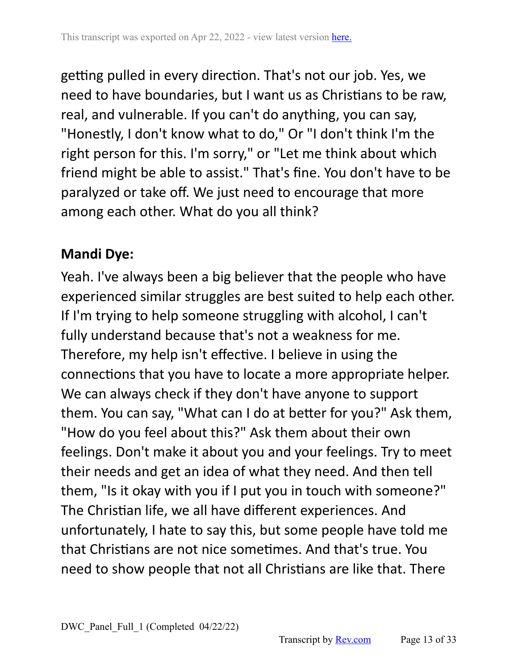getting pulled in every direction. That's not our job. Yes, we need to have boundaries, but I want us as Christians to be raw, real, and vulnerable. If you can't do anything, you can say, "Honestly, I don't know what to do," Or "I don't think I'm the right person for this. I'm sorry," or "Let me think about which friend might be able to assist." That's fine. You don't have to be paralyzed or take off. We just need to encourage that more among each other. What do you all think?

## **Mandi Dye:**

Yeah. I've always been a big believer that the people who have experienced similar struggles are best suited to help each other. If I'm trying to help someone struggling with alcohol, I can't fully understand because that's not a weakness for me. Therefore, my help isn't effective. I believe in using the connections that you have to locate a more appropriate helper. We can always check if they don't have anyone to support them. You can say, "What can I do at better for you?" Ask them, "How do you feel about this?" Ask them about their own feelings. Don't make it about you and your feelings. Try to meet their needs and get an idea of what they need. And then tell them, "Is it okay with you if I put you in touch with someone?" The Christian life, we all have different experiences. And unfortunately, I hate to say this, but some people have told me that Christians are not nice sometimes. And that's true. You need to show people that not all Christians are like that. There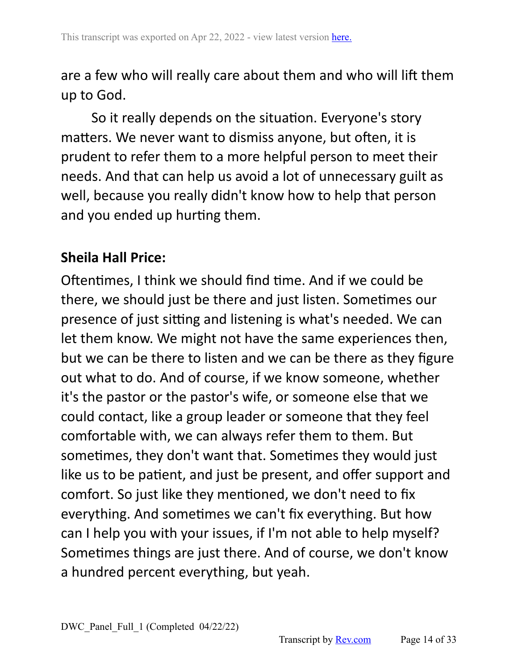are a few who will really care about them and who will lift them up to God.

So it really depends on the situation. Everyone's story matters. We never want to dismiss anyone, but often, it is prudent to refer them to a more helpful person to meet their needs. And that can help us avoid a lot of unnecessary guilt as well, because you really didn't know how to help that person and you ended up hurting them.

#### **Sheila Hall Price:**

Oftentimes, I think we should find time. And if we could be there, we should just be there and just listen. Sometimes our presence of just sitting and listening is what's needed. We can let them know. We might not have the same experiences then, but we can be there to listen and we can be there as they figure out what to do. And of course, if we know someone, whether it's the pastor or the pastor's wife, or someone else that we could contact, like a group leader or someone that they feel comfortable with, we can always refer them to them. But sometimes, they don't want that. Sometimes they would just like us to be patient, and just be present, and offer support and comfort. So just like they mentioned, we don't need to fix everything. And sometimes we can't fix everything. But how can I help you with your issues, if I'm not able to help myself? Sometimes things are just there. And of course, we don't know a hundred percent everything, but yeah.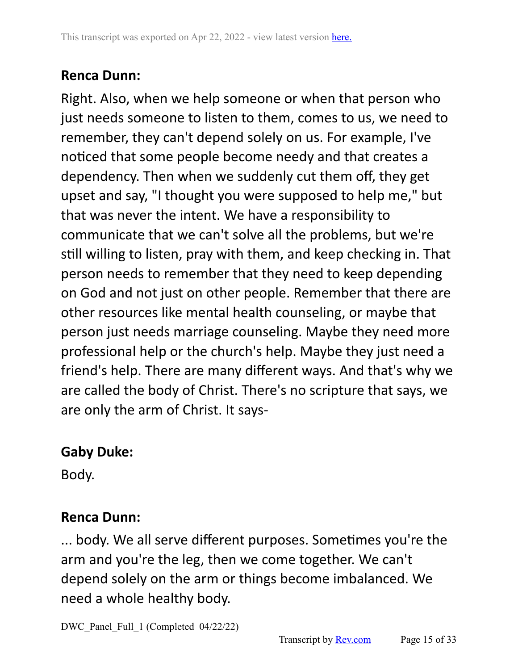### **Renca Dunn:**

Right. Also, when we help someone or when that person who just needs someone to listen to them, comes to us, we need to remember, they can't depend solely on us. For example, I've noticed that some people become needy and that creates a dependency. Then when we suddenly cut them off, they get upset and say, "I thought you were supposed to help me," but that was never the intent. We have a responsibility to communicate that we can't solve all the problems, but we're still willing to listen, pray with them, and keep checking in. That person needs to remember that they need to keep depending on God and not just on other people. Remember that there are other resources like mental health counseling, or maybe that person just needs marriage counseling. Maybe they need more professional help or the church's help. Maybe they just need a friend's help. There are many different ways. And that's why we are called the body of Christ. There's no scripture that says, we are only the arm of Christ. It says-

# **Gaby Duke:**

Body.

#### **Renca Dunn:**

... body. We all serve different purposes. Sometimes you're the arm and you're the leg, then we come together. We can't depend solely on the arm or things become imbalanced. We need a whole healthy body.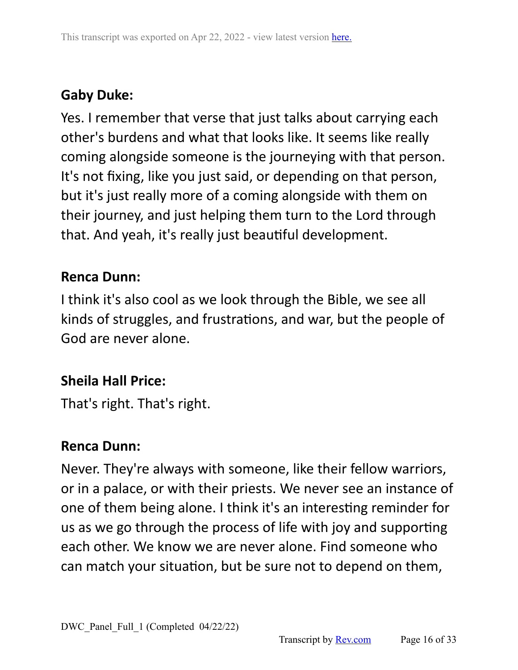# **Gaby Duke:**

Yes. I remember that verse that just talks about carrying each other's burdens and what that looks like. It seems like really coming alongside someone is the journeying with that person. It's not fixing, like you just said, or depending on that person, but it's just really more of a coming alongside with them on their journey, and just helping them turn to the Lord through that. And yeah, it's really just beautiful development.

## **Renca Dunn:**

I think it's also cool as we look through the Bible, we see all kinds of struggles, and frustrations, and war, but the people of God are never alone.

## **Sheila Hall Price:**

That's right. That's right.

#### **Renca Dunn:**

Never. They're always with someone, like their fellow warriors, or in a palace, or with their priests. We never see an instance of one of them being alone. I think it's an interesting reminder for us as we go through the process of life with joy and supporting each other. We know we are never alone. Find someone who can match your situation, but be sure not to depend on them,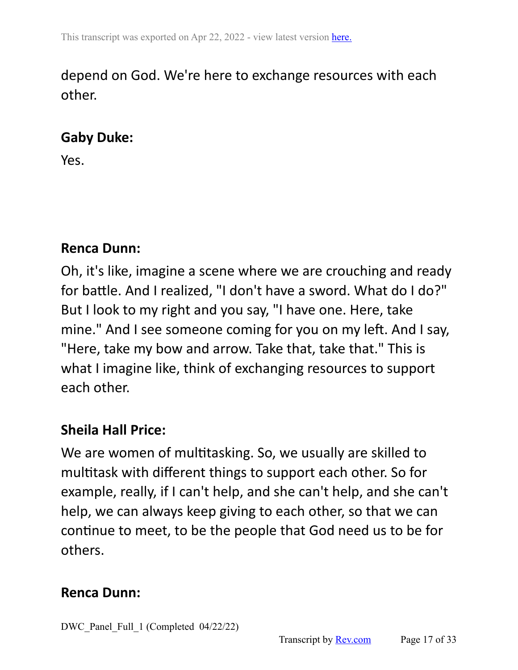# depend on God. We're here to exchange resources with each other.

## **Gaby Duke:**

Yes.

#### **Renca Dunn:**

Oh, it's like, imagine a scene where we are crouching and ready for battle. And I realized, "I don't have a sword. What do I do?" But I look to my right and you say, "I have one. Here, take mine." And I see someone coming for you on my left. And I say, "Here, take my bow and arrow. Take that, take that." This is what I imagine like, think of exchanging resources to support each other.

# **Sheila Hall Price:**

We are women of multitasking. So, we usually are skilled to multitask with different things to support each other. So for example, really, if I can't help, and she can't help, and she can't help, we can always keep giving to each other, so that we can continue to meet, to be the people that God need us to be for others.

#### **Renca Dunn:**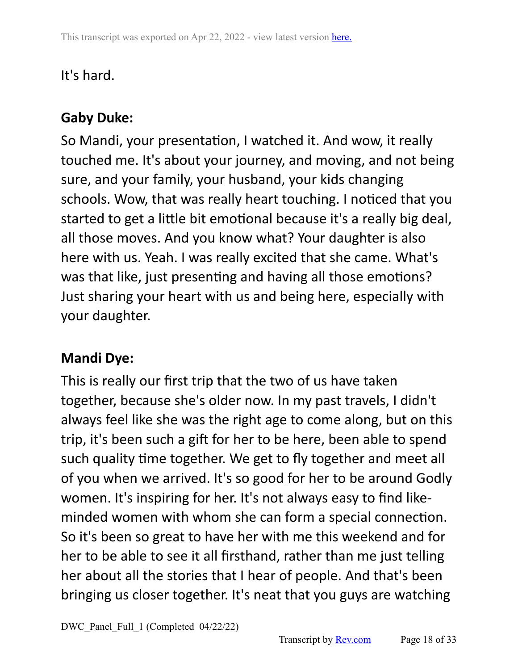# It's hard.

# **Gaby Duke:**

So Mandi, your presentation, I watched it. And wow, it really touched me. It's about your journey, and moving, and not being sure, and your family, your husband, your kids changing schools. Wow, that was really heart touching. I noticed that you started to get a little bit emotional because it's a really big deal, all those moves. And you know what? Your daughter is also here with us. Yeah. I was really excited that she came. What's was that like, just presenting and having all those emotions? Just sharing your heart with us and being here, especially with your daughter.

# **Mandi Dye:**

This is really our first trip that the two of us have taken together, because she's older now. In my past travels, I didn't always feel like she was the right age to come along, but on this trip, it's been such a gift for her to be here, been able to spend such quality time together. We get to fly together and meet all of you when we arrived. It's so good for her to be around Godly women. It's inspiring for her. It's not always easy to find likeminded women with whom she can form a special connection. So it's been so great to have her with me this weekend and for her to be able to see it all firsthand, rather than me just telling her about all the stories that I hear of people. And that's been bringing us closer together. It's neat that you guys are watching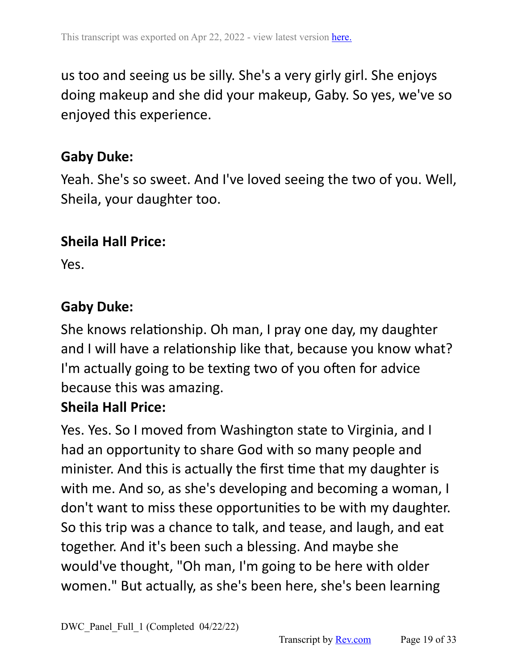us too and seeing us be silly. She's a very girly girl. She enjoys doing makeup and she did your makeup, Gaby. So yes, we've so enjoyed this experience.

#### **Gaby Duke:**

Yeah. She's so sweet. And I've loved seeing the two of you. Well, Sheila, your daughter too.

#### **Sheila Hall Price:**

Yes.

## **Gaby Duke:**

She knows relationship. Oh man, I pray one day, my daughter and I will have a relationship like that, because you know what? I'm actually going to be texting two of you often for advice because this was amazing.

#### **Sheila Hall Price:**

Yes. Yes. So I moved from Washington state to Virginia, and I had an opportunity to share God with so many people and minister. And this is actually the first time that my daughter is with me. And so, as she's developing and becoming a woman, I don't want to miss these opportunities to be with my daughter. So this trip was a chance to talk, and tease, and laugh, and eat together. And it's been such a blessing. And maybe she would've thought, "Oh man, I'm going to be here with older women." But actually, as she's been here, she's been learning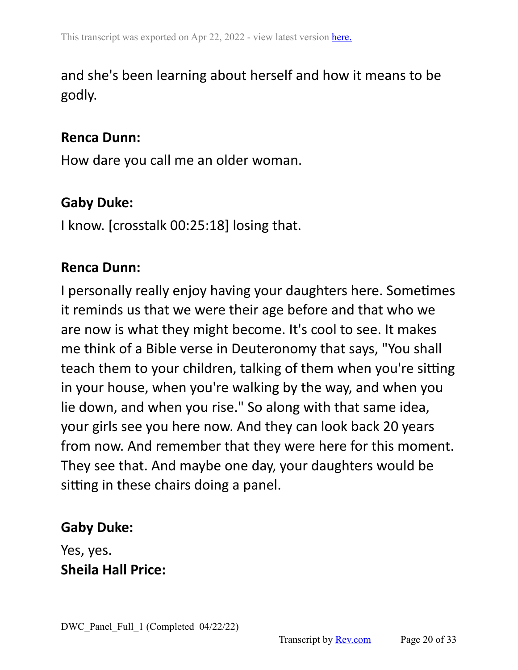# and she's been learning about herself and how it means to be godly.

#### **Renca Dunn:**

How dare you call me an older woman.

### **Gaby Duke:**

I know. [crosstalk 00:25:18] losing that.

#### **Renca Dunn:**

I personally really enjoy having your daughters here. Sometimes it reminds us that we were their age before and that who we are now is what they might become. It's cool to see. It makes me think of a Bible verse in Deuteronomy that says, "You shall teach them to your children, talking of them when you're sitting in your house, when you're walking by the way, and when you lie down, and when you rise." So along with that same idea, your girls see you here now. And they can look back 20 years from now. And remember that they were here for this moment. They see that. And maybe one day, your daughters would be sitting in these chairs doing a panel.

#### **Gaby Duke:**

Yes, yes. **Sheila Hall Price:**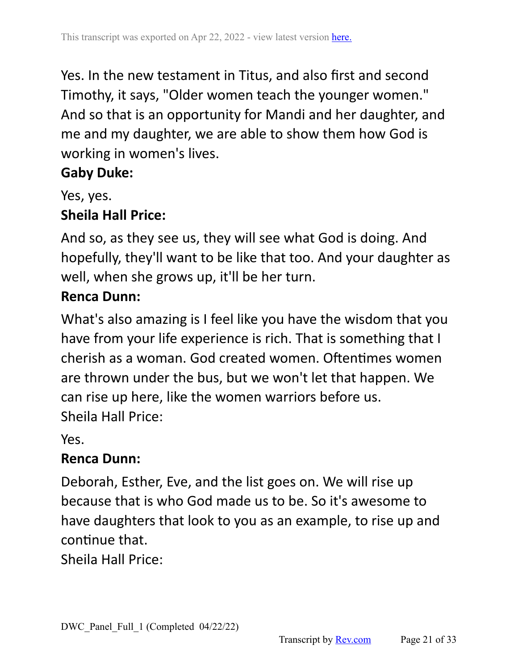Yes. In the new testament in Titus, and also first and second Timothy, it says, "Older women teach the younger women." And so that is an opportunity for Mandi and her daughter, and me and my daughter, we are able to show them how God is working in women's lives.

## **Gaby Duke:**

Yes, yes.

## **Sheila Hall Price:**

And so, as they see us, they will see what God is doing. And hopefully, they'll want to be like that too. And your daughter as well, when she grows up, it'll be her turn.

## **Renca Dunn:**

What's also amazing is I feel like you have the wisdom that you have from your life experience is rich. That is something that I cherish as a woman. God created women. Oftentimes women are thrown under the bus, but we won't let that happen. We can rise up here, like the women warriors before us. Sheila Hall Price:

Yes.

## **Renca Dunn:**

Deborah, Esther, Eve, and the list goes on. We will rise up because that is who God made us to be. So it's awesome to have daughters that look to you as an example, to rise up and continue that.

Sheila Hall Price: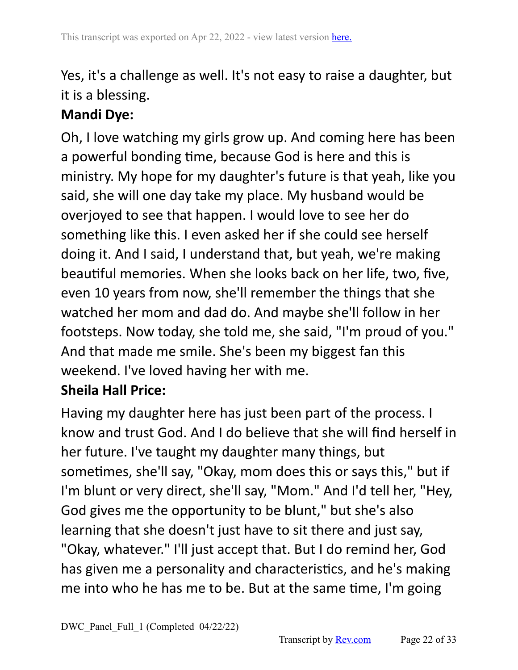# Yes, it's a challenge as well. It's not easy to raise a daughter, but it is a blessing.

# **Mandi Dye:**

Oh, I love watching my girls grow up. And coming here has been a powerful bonding time, because God is here and this is ministry. My hope for my daughter's future is that yeah, like you said, she will one day take my place. My husband would be overjoyed to see that happen. I would love to see her do something like this. I even asked her if she could see herself doing it. And I said, I understand that, but yeah, we're making beautiful memories. When she looks back on her life, two, five, even 10 years from now, she'll remember the things that she watched her mom and dad do. And maybe she'll follow in her footsteps. Now today, she told me, she said, "I'm proud of you." And that made me smile. She's been my biggest fan this weekend. I've loved having her with me.

# **Sheila Hall Price:**

Having my daughter here has just been part of the process. I know and trust God. And I do believe that she will find herself in her future. I've taught my daughter many things, but sometimes, she'll say, "Okay, mom does this or says this," but if I'm blunt or very direct, she'll say, "Mom." And I'd tell her, "Hey, God gives me the opportunity to be blunt," but she's also learning that she doesn't just have to sit there and just say, "Okay, whatever." I'll just accept that. But I do remind her, God has given me a personality and characteristics, and he's making me into who he has me to be. But at the same time, I'm going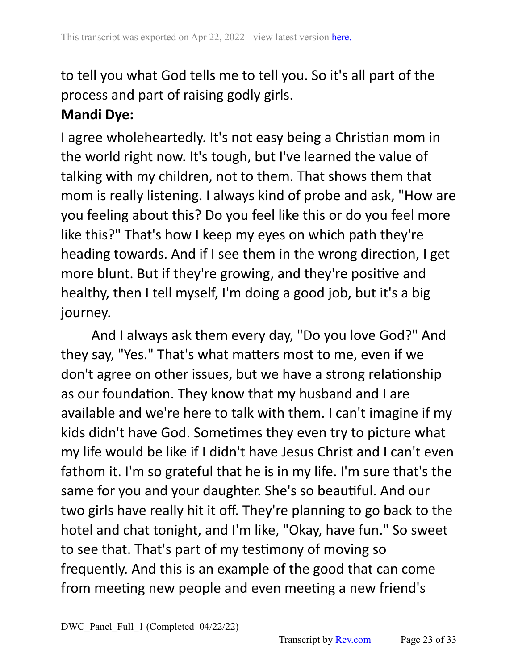to tell you what God tells me to tell you. So it's all part of the process and part of raising godly girls.

# **Mandi Dye:**

I agree wholeheartedly. It's not easy being a Christian mom in the world right now. It's tough, but I've learned the value of talking with my children, not to them. That shows them that mom is really listening. I always kind of probe and ask, "How are you feeling about this? Do you feel like this or do you feel more like this?" That's how I keep my eyes on which path they're heading towards. And if I see them in the wrong direction, I get more blunt. But if they're growing, and they're positive and healthy, then I tell myself, I'm doing a good job, but it's a big journey.

And I always ask them every day, "Do you love God?" And they say, "Yes." That's what matters most to me, even if we don't agree on other issues, but we have a strong relationship as our foundation. They know that my husband and I are available and we're here to talk with them. I can't imagine if my kids didn't have God. Sometimes they even try to picture what my life would be like if I didn't have Jesus Christ and I can't even fathom it. I'm so grateful that he is in my life. I'm sure that's the same for you and your daughter. She's so beautiful. And our two girls have really hit it off. They're planning to go back to the hotel and chat tonight, and I'm like, "Okay, have fun." So sweet to see that. That's part of my testimony of moving so frequently. And this is an example of the good that can come from meeting new people and even meeting a new friend's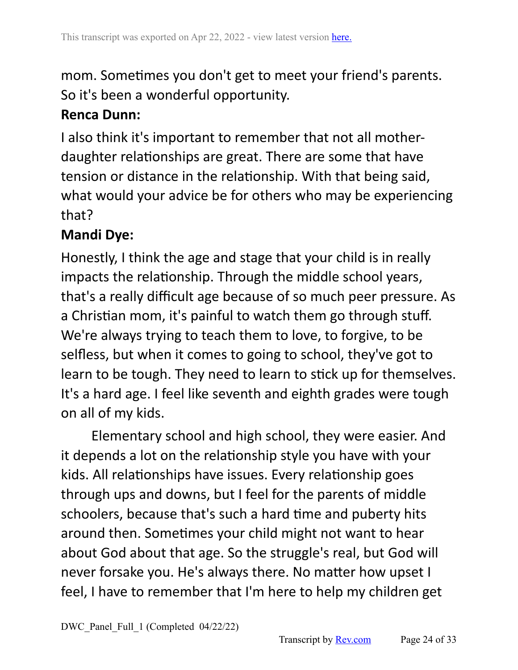mom. Sometimes you don't get to meet your friend's parents. So it's been a wonderful opportunity.

## **Renca Dunn:**

I also think it's important to remember that not all motherdaughter relationships are great. There are some that have tension or distance in the relationship. With that being said, what would your advice be for others who may be experiencing that?

# **Mandi Dye:**

Honestly, I think the age and stage that your child is in really impacts the relationship. Through the middle school years, that's a really difficult age because of so much peer pressure. As a Christian mom, it's painful to watch them go through stuff. We're always trying to teach them to love, to forgive, to be selfless, but when it comes to going to school, they've got to learn to be tough. They need to learn to stick up for themselves. It's a hard age. I feel like seventh and eighth grades were tough on all of my kids.

Elementary school and high school, they were easier. And it depends a lot on the relationship style you have with your kids. All relationships have issues. Every relationship goes through ups and downs, but I feel for the parents of middle schoolers, because that's such a hard time and puberty hits around then. Sometimes your child might not want to hear about God about that age. So the struggle's real, but God will never forsake you. He's always there. No matter how upset I feel, I have to remember that I'm here to help my children get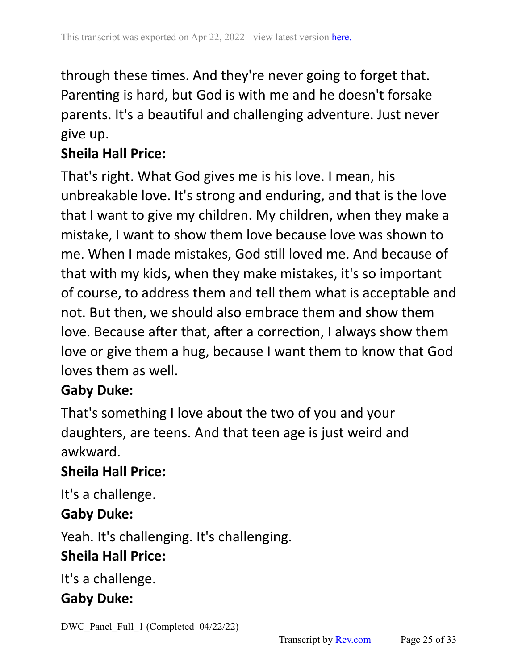through these times. And they're never going to forget that. Parenting is hard, but God is with me and he doesn't forsake parents. It's a beautiful and challenging adventure. Just never give up.

# **Sheila Hall Price:**

That's right. What God gives me is his love. I mean, his unbreakable love. It's strong and enduring, and that is the love that I want to give my children. My children, when they make a mistake, I want to show them love because love was shown to me. When I made mistakes, God still loved me. And because of that with my kids, when they make mistakes, it's so important of course, to address them and tell them what is acceptable and not. But then, we should also embrace them and show them love. Because after that, after a correction, I always show them love or give them a hug, because I want them to know that God loves them as well.

#### **Gaby Duke:**

That's something I love about the two of you and your daughters, are teens. And that teen age is just weird and awkward.

## **Sheila Hall Price:**

It's a challenge.

#### **Gaby Duke:**

Yeah. It's challenging. It's challenging.

## **Sheila Hall Price:**

It's a challenge.

## **Gaby Duke:**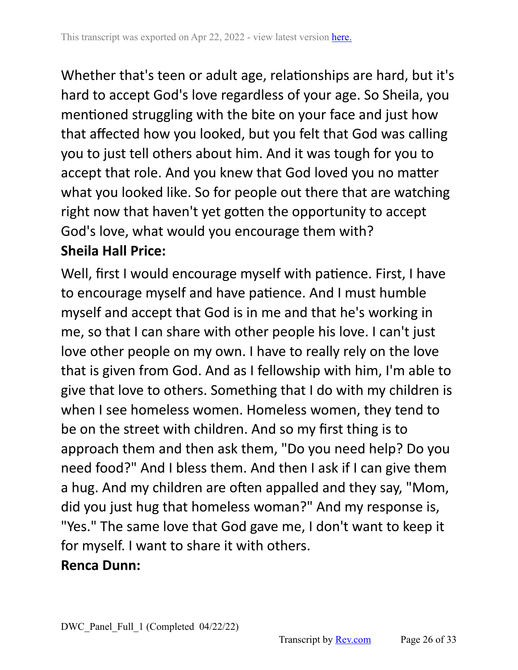Whether that's teen or adult age, relationships are hard, but it's hard to accept God's love regardless of your age. So Sheila, you mentioned struggling with the bite on your face and just how that affected how you looked, but you felt that God was calling you to just tell others about him. And it was tough for you to accept that role. And you knew that God loved you no matter what you looked like. So for people out there that are watching right now that haven't yet gotten the opportunity to accept God's love, what would you encourage them with? **Sheila Hall Price:**

Well, first I would encourage myself with patience. First, I have to encourage myself and have patience. And I must humble myself and accept that God is in me and that he's working in me, so that I can share with other people his love. I can't just love other people on my own. I have to really rely on the love that is given from God. And as I fellowship with him, I'm able to give that love to others. Something that I do with my children is when I see homeless women. Homeless women, they tend to be on the street with children. And so my first thing is to approach them and then ask them, "Do you need help? Do you need food?" And I bless them. And then I ask if I can give them a hug. And my children are often appalled and they say, "Mom, did you just hug that homeless woman?" And my response is, "Yes." The same love that God gave me, I don't want to keep it for myself. I want to share it with others.

#### **Renca Dunn:**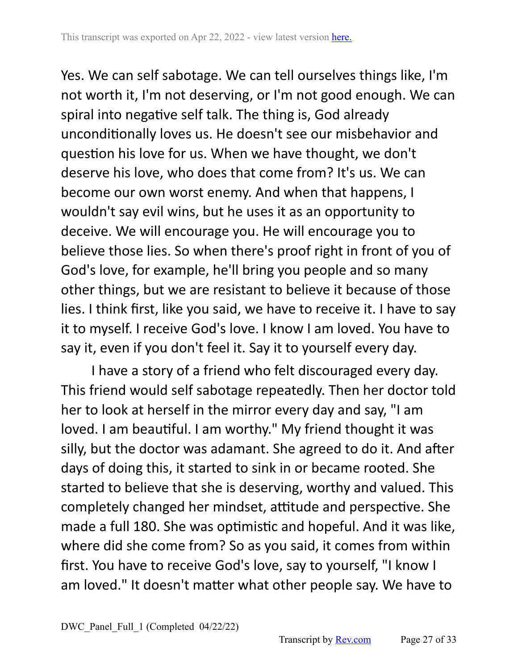Yes. We can self sabotage. We can tell ourselves things like, I'm not worth it, I'm not deserving, or I'm not good enough. We can spiral into negative self talk. The thing is, God already unconditionally loves us. He doesn't see our misbehavior and question his love for us. When we have thought, we don't deserve his love, who does that come from? It's us. We can become our own worst enemy. And when that happens, I wouldn't say evil wins, but he uses it as an opportunity to deceive. We will encourage you. He will encourage you to believe those lies. So when there's proof right in front of you of God's love, for example, he'll bring you people and so many other things, but we are resistant to believe it because of those lies. I think first, like you said, we have to receive it. I have to say it to myself. I receive God's love. I know I am loved. You have to say it, even if you don't feel it. Say it to yourself every day.

I have a story of a friend who felt discouraged every day. This friend would self sabotage repeatedly. Then her doctor told her to look at herself in the mirror every day and say, "I am loved. I am beautiful. I am worthy." My friend thought it was silly, but the doctor was adamant. She agreed to do it. And after days of doing this, it started to sink in or became rooted. She started to believe that she is deserving, worthy and valued. This completely changed her mindset, attitude and perspective. She made a full 180. She was optimistic and hopeful. And it was like, where did she come from? So as you said, it comes from within first. You have to receive God's love, say to yourself, "I know I am loved." It doesn't matter what other people say. We have to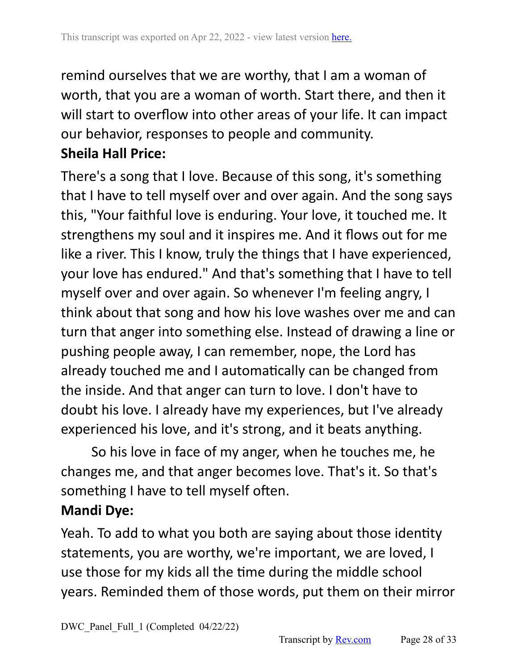remind ourselves that we are worthy, that I am a woman of worth, that you are a woman of worth. Start there, and then it will start to overflow into other areas of your life. It can impact our behavior, responses to people and community. **Sheila Hall Price:**

There's a song that I love. Because of this song, it's something that I have to tell myself over and over again. And the song says this, "Your faithful love is enduring. Your love, it touched me. It strengthens my soul and it inspires me. And it flows out for me like a river. This I know, truly the things that I have experienced, your love has endured." And that's something that I have to tell myself over and over again. So whenever I'm feeling angry, I think about that song and how his love washes over me and can turn that anger into something else. Instead of drawing a line or pushing people away, I can remember, nope, the Lord has already touched me and I automatically can be changed from the inside. And that anger can turn to love. I don't have to doubt his love. I already have my experiences, but I've already experienced his love, and it's strong, and it beats anything.

So his love in face of my anger, when he touches me, he changes me, and that anger becomes love. That's it. So that's something I have to tell myself often.

## **Mandi Dye:**

Yeah. To add to what you both are saying about those identity statements, you are worthy, we're important, we are loved, I use those for my kids all the time during the middle school years. Reminded them of those words, put them on their mirror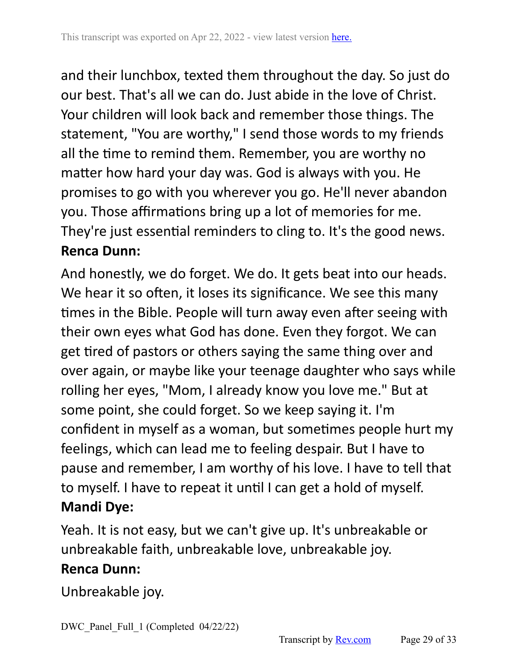and their lunchbox, texted them throughout the day. So just do our best. That's all we can do. Just abide in the love of Christ. Your children will look back and remember those things. The statement, "You are worthy," I send those words to my friends all the time to remind them. Remember, you are worthy no matter how hard your day was. God is always with you. He promises to go with you wherever you go. He'll never abandon you. Those affirmations bring up a lot of memories for me. They're just essential reminders to cling to. It's the good news. **Renca Dunn:**

And honestly, we do forget. We do. It gets beat into our heads. We hear it so often, it loses its significance. We see this many times in the Bible. People will turn away even after seeing with their own eyes what God has done. Even they forgot. We can get tired of pastors or others saying the same thing over and over again, or maybe like your teenage daughter who says while rolling her eyes, "Mom, I already know you love me." But at some point, she could forget. So we keep saying it. I'm confident in myself as a woman, but sometimes people hurt my feelings, which can lead me to feeling despair. But I have to pause and remember, I am worthy of his love. I have to tell that to myself. I have to repeat it until I can get a hold of myself. **Mandi Dye:**

Yeah. It is not easy, but we can't give up. It's unbreakable or unbreakable faith, unbreakable love, unbreakable joy.

#### **Renca Dunn:**

Unbreakable joy.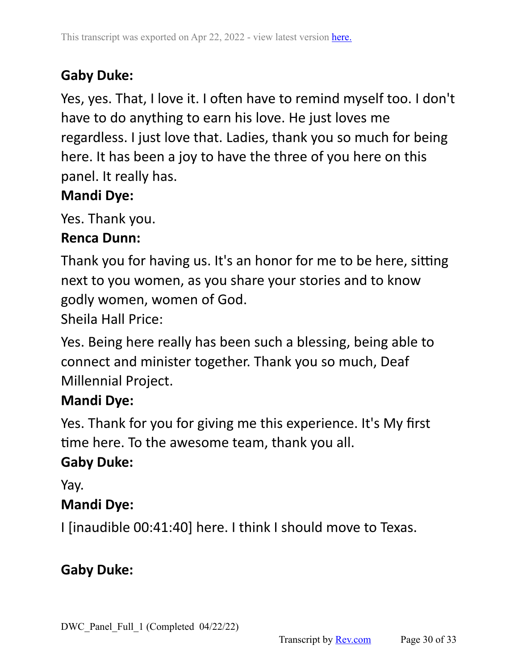# **Gaby Duke:**

Yes, yes. That, I love it. I often have to remind myself too. I don't have to do anything to earn his love. He just loves me regardless. I just love that. Ladies, thank you so much for being here. It has been a joy to have the three of you here on this panel. It really has.

# **Mandi Dye:**

Yes. Thank you.

## **Renca Dunn:**

Thank you for having us. It's an honor for me to be here, sitting next to you women, as you share your stories and to know godly women, women of God.

Sheila Hall Price:

Yes. Being here really has been such a blessing, being able to connect and minister together. Thank you so much, Deaf Millennial Project.

# **Mandi Dye:**

Yes. Thank for you for giving me this experience. It's My first time here. To the awesome team, thank you all.

# **Gaby Duke:**

Yay.

# **Mandi Dye:**

I [inaudible 00:41:40] here. I think I should move to Texas.

# **Gaby Duke:**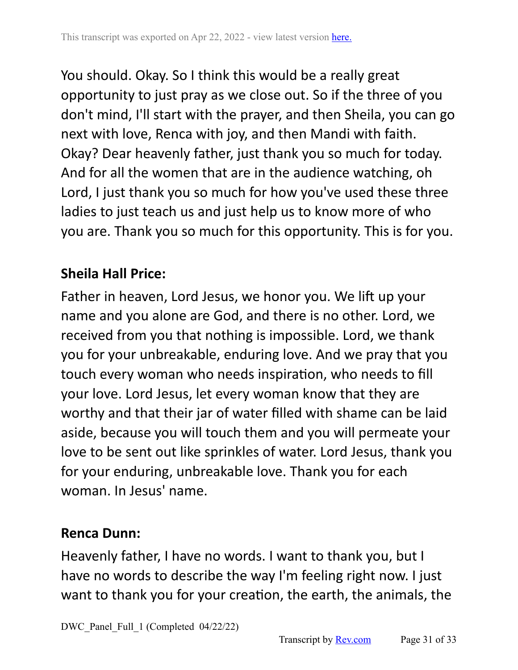You should. Okay. So I think this would be a really great opportunity to just pray as we close out. So if the three of you don't mind, I'll start with the prayer, and then Sheila, you can go next with love, Renca with joy, and then Mandi with faith. Okay? Dear heavenly father, just thank you so much for today. And for all the women that are in the audience watching, oh Lord, I just thank you so much for how you've used these three ladies to just teach us and just help us to know more of who you are. Thank you so much for this opportunity. This is for you.

# **Sheila Hall Price:**

Father in heaven, Lord Jesus, we honor you. We lift up your name and you alone are God, and there is no other. Lord, we received from you that nothing is impossible. Lord, we thank you for your unbreakable, enduring love. And we pray that you touch every woman who needs inspiration, who needs to fill your love. Lord Jesus, let every woman know that they are worthy and that their jar of water filled with shame can be laid aside, because you will touch them and you will permeate your love to be sent out like sprinkles of water. Lord Jesus, thank you for your enduring, unbreakable love. Thank you for each woman. In Jesus' name.

# **Renca Dunn:**

Heavenly father, I have no words. I want to thank you, but I have no words to describe the way I'm feeling right now. I just want to thank you for your creation, the earth, the animals, the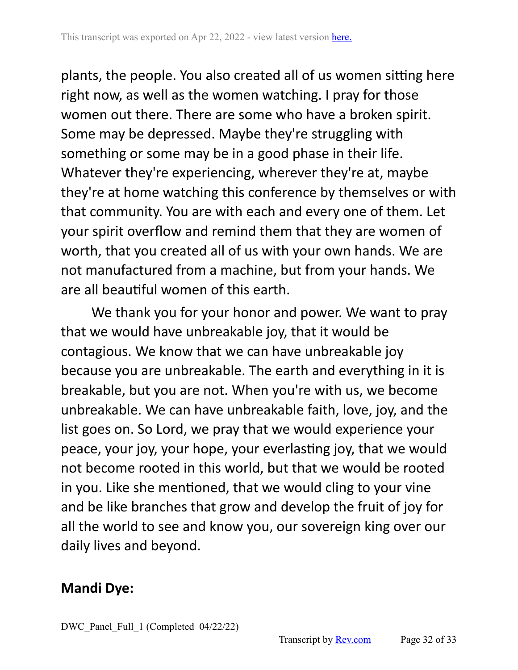plants, the people. You also created all of us women sitting here right now, as well as the women watching. I pray for those women out there. There are some who have a broken spirit. Some may be depressed. Maybe they're struggling with something or some may be in a good phase in their life. Whatever they're experiencing, wherever they're at, maybe they're at home watching this conference by themselves or with that community. You are with each and every one of them. Let your spirit overflow and remind them that they are women of worth, that you created all of us with your own hands. We are not manufactured from a machine, but from your hands. We are all beautiful women of this earth.

We thank you for your honor and power. We want to pray that we would have unbreakable joy, that it would be contagious. We know that we can have unbreakable joy because you are unbreakable. The earth and everything in it is breakable, but you are not. When you're with us, we become unbreakable. We can have unbreakable faith, love, joy, and the list goes on. So Lord, we pray that we would experience your peace, your joy, your hope, your everlasting joy, that we would not become rooted in this world, but that we would be rooted in you. Like she mentioned, that we would cling to your vine and be like branches that grow and develop the fruit of joy for all the world to see and know you, our sovereign king over our daily lives and beyond.

## **Mandi Dye:**